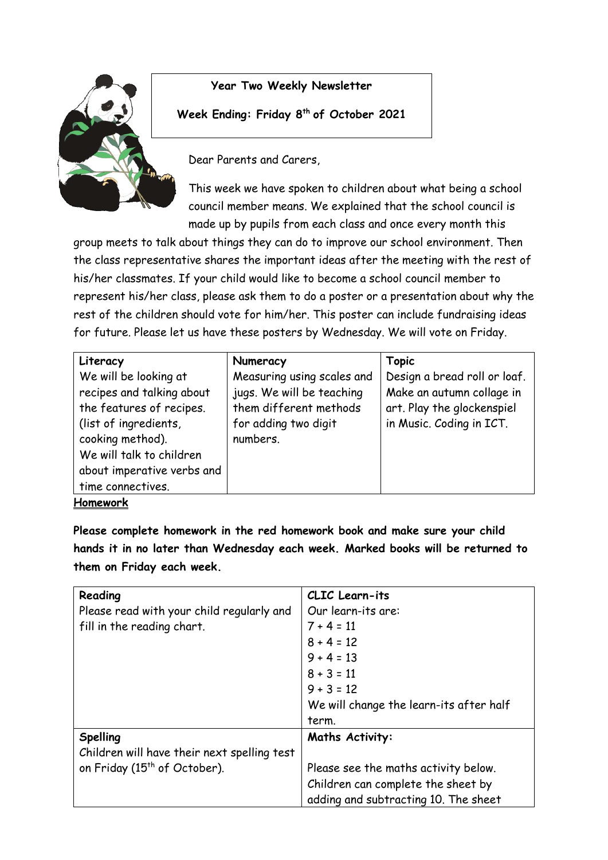

## **Year Two Weekly Newsletter**

## **Week Ending: Friday 8th of October 2021**

Dear Parents and Carers,

This week we have spoken to children about what being a school council member means. We explained that the school council is made up by pupils from each class and once every month this

group meets to talk about things they can do to improve our school environment. Then the class representative shares the important ideas after the meeting with the rest of his/her classmates. If your child would like to become a school council member to represent his/her class, please ask them to do a poster or a presentation about why the rest of the children should vote for him/her. This poster can include fundraising ideas for future. Please let us have these posters by Wednesday. We will vote on Friday.

| Literacy                                                                                                                        | Numeracy                                                   | Topic                                                     |
|---------------------------------------------------------------------------------------------------------------------------------|------------------------------------------------------------|-----------------------------------------------------------|
| We will be looking at<br>recipes and talking about                                                                              | Measuring using scales and<br>jugs. We will be teaching    | Design a bread roll or loaf.<br>Make an autumn collage in |
| the features of recipes.<br>(list of ingredients,<br>cooking method).<br>We will talk to children<br>about imperative verbs and | them different methods<br>for adding two digit<br>numbers. | art. Play the glockenspiel<br>in Music. Coding in ICT.    |
| time connectives.                                                                                                               |                                                            |                                                           |
| Homework                                                                                                                        |                                                            |                                                           |

**Please complete homework in the red homework book and make sure your child hands it in no later than Wednesday each week. Marked books will be returned to them on Friday each week.** 

| Reading                                     | CLIC Learn-its                          |
|---------------------------------------------|-----------------------------------------|
| Please read with your child regularly and   | Our learn-its are:                      |
| fill in the reading chart.                  | $7 + 4 = 11$                            |
|                                             | $8 + 4 = 12$                            |
|                                             | $9 + 4 = 13$                            |
|                                             | $8 + 3 = 11$                            |
|                                             | $9 + 3 = 12$                            |
|                                             | We will change the learn-its after half |
|                                             | term.                                   |
|                                             |                                         |
| <b>Spelling</b>                             | <b>Maths Activity:</b>                  |
| Children will have their next spelling test |                                         |
| on Friday (15 <sup>th</sup> of October).    | Please see the maths activity below.    |
|                                             | Children can complete the sheet by      |
|                                             | adding and subtracting 10. The sheet    |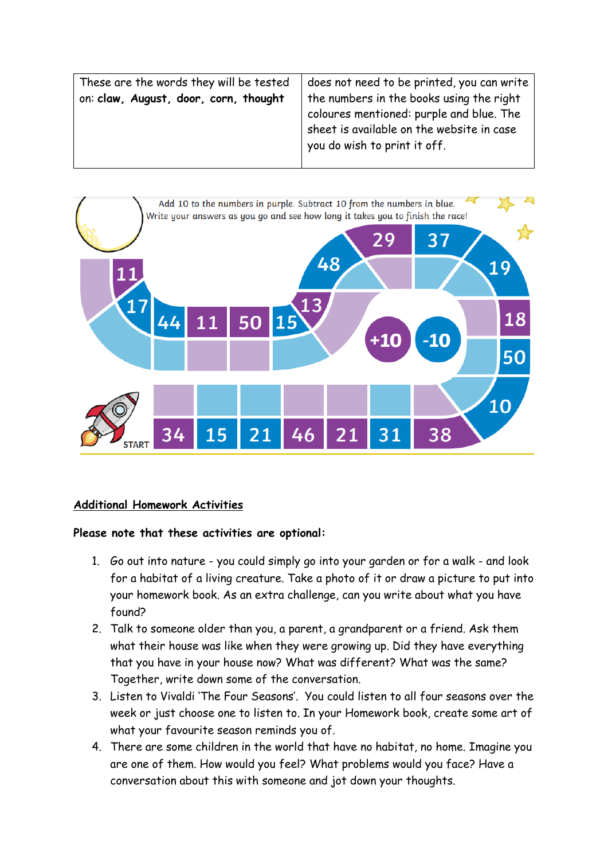These are the words they will be tested on: **claw, August, door, corn, thought**

does not need to be printed, you can write the numbers in the books using the right coloures mentioned: purple and blue. The sheet is available on the website in case you do wish to print it off.



## **Additional Homework Activities**

## **Please note that these activities are optional:**

- 1. Go out into nature you could simply go into your garden or for a walk and look for a habitat of a living creature. Take a photo of it or draw a picture to put into your homework book. As an extra challenge, can you write about what you have found?
- 2. Talk to someone older than you, a parent, a grandparent or a friend. Ask them what their house was like when they were growing up. Did they have everything that you have in your house now? What was different? What was the same? Together, write down some of the conversation.
- 3. Listen to Vivaldi 'The Four Seasons'. You could listen to all four seasons over the week or just choose one to listen to. In your Homework book, create some art of what your favourite season reminds you of.
- 4. There are some children in the world that have no habitat, no home. Imagine you are one of them. How would you feel? What problems would you face? Have a conversation about this with someone and jot down your thoughts.